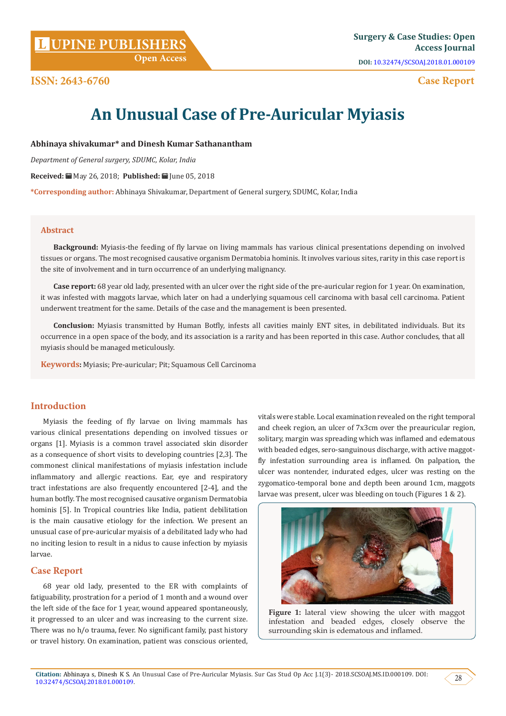**Citation: Abhinaya s, Dinesh K S. An Unusual Case of Pre-Auricular Myiasis. Sur Cas Stud Op Acc J.1(3)- 2018.SCSOAJ.MS.ID.000109. DOI:**  $\sqrt{28}$ 

### **ISSN: 2643-6760**

vitals were stable. Local examination revealed on the right temporal and cheek region, an ulcer of 7x3cm over the preauricular region, solitary, margin was spreading which was inflamed and edematous with beaded edges, sero-sanguinous discharge, with active maggotfly infestation surrounding area is inflamed. On palpation, the ulcer was nontender, indurated edges, ulcer was resting on the zygomatico-temporal bone and depth been around 1cm, maggots

# **An Unusual Case of Pre-Auricular Myiasis**

**Abhinaya shivakumar\* and Dinesh Kumar Sathanantham**

*Department of General surgery, SDUMC, Kolar, India*

**Received:** May 26, 2018; **Published:** June 05, 2018

**\*Corresponding author:** Abhinaya Shivakumar, Department of General surgery, SDUMC, Kolar, India

### **Abstract**

**Background:** Myiasis-the feeding of fly larvae on living mammals has various clinical presentations depending on involved tissues or organs. The most recognised causative organism Dermatobia hominis. It involves various sites, rarity in this case report is the site of involvement and in turn occurrence of an underlying malignancy.

**Case report:** 68 year old lady, presented with an ulcer over the right side of the pre-auricular region for 1 year. On examination, it was infested with maggots larvae, which later on had a underlying squamous cell carcinoma with basal cell carcinoma. Patient underwent treatment for the same. Details of the case and the management is been presented.

**Conclusion:** Myiasis transmitted by Human Botfly, infests all cavities mainly ENT sites, in debilitated individuals. But its occurrence in a open space of the body, and its association is a rarity and has been reported in this case. Author concludes, that all myiasis should be managed meticulously.

**Keywords:** Myiasis; Pre-auricular; Pit; Squamous Cell Carcinoma

### **Introduction**

Myiasis the feeding of fly larvae on living mammals has various clinical presentations depending on involved tissues or organs [1]. Myiasis is a common travel associated skin disorder as a consequence of short visits to developing countries [2,3]. The commonest clinical manifestations of myiasis infestation include inflammatory and allergic reactions. Ear, eye and respiratory tract infestations are also frequently encountered [2-4], and the human botfly. The most recognised causative organism Dermatobia hominis [5]. In Tropical countries like India, patient debilitation is the main causative etiology for the infection. We present an unusual case of pre-auricular myaisis of a debilitated lady who had no inciting lesion to result in a nidus to cause infection by myiasis larvae.

### **Case Report**

68 year old lady, presented to the ER with complaints of fatiguability, prostration for a period of 1 month and a wound over the left side of the face for 1 year, wound appeared spontaneously, it progressed to an ulcer and was increasing to the current size. There was no h/o trauma, fever. No significant family, past history or travel history. On examination, patient was conscious oriented,

Figure 1: lateral view showing the ulcer with maggot infestation and beaded edges, closely observe the surrounding skin is edematous and inflamed.

## **Open Access**

**UPINE PUBLISHERS L Surgery & Case Studies: Open Access Journal DOI:** [10.32474/SCSOAJ.2018.01.000109](http://dx.doi.org/10.32474/SCSOAJ.2018.01.000109)

 **Case Report**



larvae was present, ulcer was bleeding on touch (Figures 1 & 2).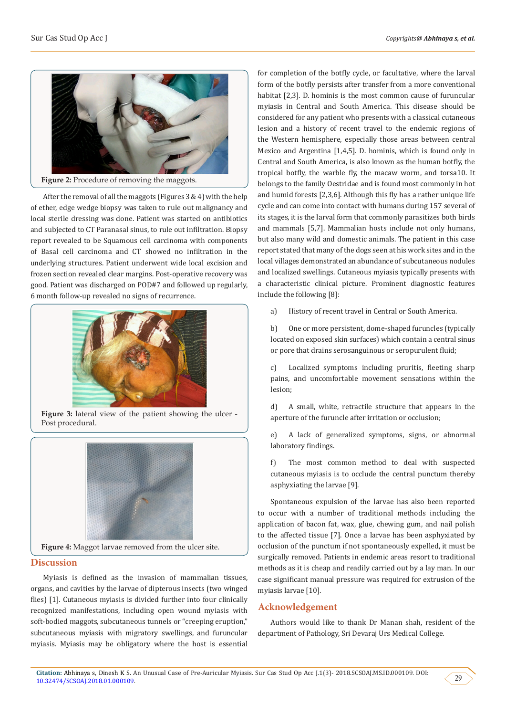

After the removal of all the maggots (Figures 3 & 4) with the help

of ether, edge wedge biopsy was taken to rule out malignancy and local sterile dressing was done. Patient was started on antibiotics and subjected to CT Paranasal sinus, to rule out infiltration. Biopsy report revealed to be Squamous cell carcinoma with components of Basal cell carcinoma and CT showed no infiltration in the underlying structures. Patient underwent wide local excision and frozen section revealed clear margins. Post-operative recovery was good. Patient was discharged on POD#7 and followed up regularly, 6 month follow-up revealed no signs of recurrence.



Figure 3: lateral view of the patient showing the ulcer -Post procedural.



**Figure 4:** Maggot larvae removed from the ulcer site.

### **Discussion**

Myiasis is defined as the invasion of mammalian tissues, organs, and cavities by the larvae of dipterous insects (two winged flies) [1]. Cutaneous myiasis is divided further into four clinically recognized manifestations, including open wound myiasis with soft-bodied maggots, subcutaneous tunnels or "creeping eruption," subcutaneous myiasis with migratory swellings, and furuncular myiasis. Myiasis may be obligatory where the host is essential for completion of the botfly cycle, or facultative, where the larval form of the botfly persists after transfer from a more conventional habitat [2,3]. D. hominis is the most common cause of furuncular myiasis in Central and South America. This disease should be considered for any patient who presents with a classical cutaneous lesion and a history of recent travel to the endemic regions of the Western hemisphere, especially those areas between central Mexico and Argentina [1,4,5]. D. hominis, which is found only in Central and South America, is also known as the human botfly, the tropical botfly, the warble fly, the macaw worm, and torsa10. It belongs to the family Oestridae and is found most commonly in hot and humid forests [2,3,6]. Although this fly has a rather unique life cycle and can come into contact with humans during 157 several of its stages, it is the larval form that commonly parasitizes both birds and mammals [5,7]. Mammalian hosts include not only humans, but also many wild and domestic animals. The patient in this case report stated that many of the dogs seen at his work sites and in the local villages demonstrated an abundance of subcutaneous nodules and localized swellings. Cutaneous myiasis typically presents with a characteristic clinical picture. Prominent diagnostic features include the following [8]:

a) History of recent travel in Central or South America.

b) One or more persistent, dome-shaped furuncles (typically located on exposed skin surfaces) which contain a central sinus or pore that drains serosanguinous or seropurulent fluid;

c) Localized symptoms including pruritis, fleeting sharp pains, and uncomfortable movement sensations within the lesion;

d) A small, white, retractile structure that appears in the aperture of the furuncle after irritation or occlusion;

e) A lack of generalized symptoms, signs, or abnormal laboratory findings.

f) The most common method to deal with suspected cutaneous myiasis is to occlude the central punctum thereby asphyxiating the larvae [9].

Spontaneous expulsion of the larvae has also been reported to occur with a number of traditional methods including the application of bacon fat, wax, glue, chewing gum, and nail polish to the affected tissue [7]. Once a larvae has been asphyxiated by occlusion of the punctum if not spontaneously expelled, it must be surgically removed. Patients in endemic areas resort to traditional methods as it is cheap and readily carried out by a lay man. In our case significant manual pressure was required for extrusion of the myiasis larvae [10].

### **Acknowledgement**

Authors would like to thank Dr Manan shah, resident of the department of Pathology, Sri Devaraj Urs Medical College.

 $29$